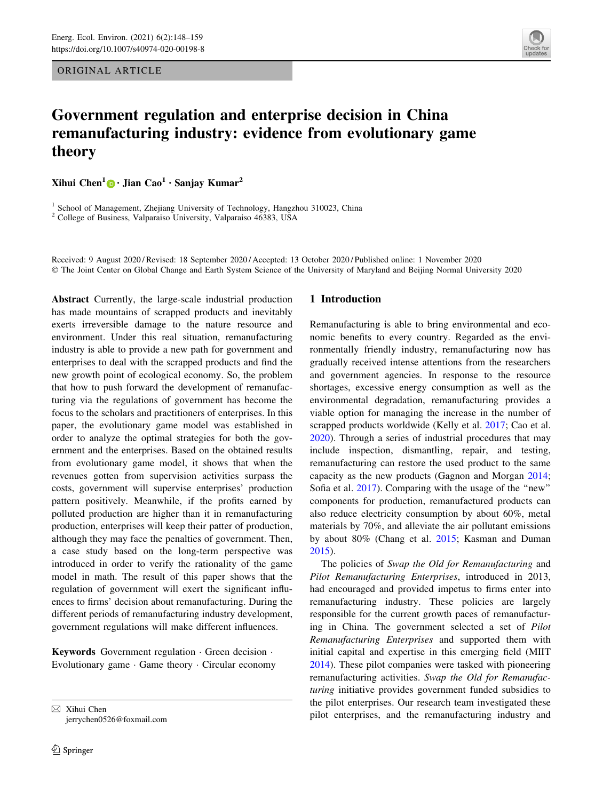ORIGINAL ARTICLE

# Government regulation and enterprise decision in China remanufacturing industry: evidence from evolutionary game theory

Xihui Chen<sup>1</sup> [•](http://orcid.org/0000-0002-9736-9503) Jian Cao<sup>1</sup> • Sanjay Kumar<sup>2</sup>

<sup>1</sup> School of Management, Zhejiang University of Technology, Hangzhou 310023, China

<sup>2</sup> College of Business, Valparaiso University, Valparaiso 46383, USA

Received: 9 August 2020 / Revised: 18 September 2020 / Accepted: 13 October 2020 / Published online: 1 November 2020 - The Joint Center on Global Change and Earth System Science of the University of Maryland and Beijing Normal University 2020

Abstract Currently, the large-scale industrial production has made mountains of scrapped products and inevitably exerts irreversible damage to the nature resource and environment. Under this real situation, remanufacturing industry is able to provide a new path for government and enterprises to deal with the scrapped products and find the new growth point of ecological economy. So, the problem that how to push forward the development of remanufacturing via the regulations of government has become the focus to the scholars and practitioners of enterprises. In this paper, the evolutionary game model was established in order to analyze the optimal strategies for both the government and the enterprises. Based on the obtained results from evolutionary game model, it shows that when the revenues gotten from supervision activities surpass the costs, government will supervise enterprises' production pattern positively. Meanwhile, if the profits earned by polluted production are higher than it in remanufacturing production, enterprises will keep their patter of production, although they may face the penalties of government. Then, a case study based on the long-term perspective was introduced in order to verify the rationality of the game model in math. The result of this paper shows that the regulation of government will exert the significant influences to firms' decision about remanufacturing. During the different periods of remanufacturing industry development, government regulations will make different influences.

Keywords Government regulation · Green decision · Evolutionary game - Game theory - Circular economy

jerrychen0526@foxmail.com

# 1 Introduction

Remanufacturing is able to bring environmental and economic benefits to every country. Regarded as the environmentally friendly industry, remanufacturing now has gradually received intense attentions from the researchers and government agencies. In response to the resource shortages, excessive energy consumption as well as the environmental degradation, remanufacturing provides a viable option for managing the increase in the number of scrapped products worldwide (Kelly et al. [2017](#page-11-0); Cao et al. [2020](#page-10-0)). Through a series of industrial procedures that may include inspection, dismantling, repair, and testing, remanufacturing can restore the used product to the same capacity as the new products (Gagnon and Morgan [2014](#page-11-0); Sofia et al. [2017](#page-11-0)). Comparing with the usage of the "new" components for production, remanufactured products can also reduce electricity consumption by about 60%, metal materials by 70%, and alleviate the air pollutant emissions by about 80% (Chang et al. [2015;](#page-10-0) Kasman and Duman [2015](#page-11-0)).

The policies of Swap the Old for Remanufacturing and Pilot Remanufacturing Enterprises, introduced in 2013, had encouraged and provided impetus to firms enter into remanufacturing industry. These policies are largely responsible for the current growth paces of remanufacturing in China. The government selected a set of Pilot Remanufacturing Enterprises and supported them with initial capital and expertise in this emerging field (MIIT [2014](#page-11-0)). These pilot companies were tasked with pioneering remanufacturing activities. Swap the Old for Remanufacturing initiative provides government funded subsidies to the pilot enterprises. Our research team investigated these  $\boxtimes$  Xihui Chen<br>intervalson (526 formal computations) and the remanufacturing industry and  $\ddot{\theta}$  intervalson (526 formal computations)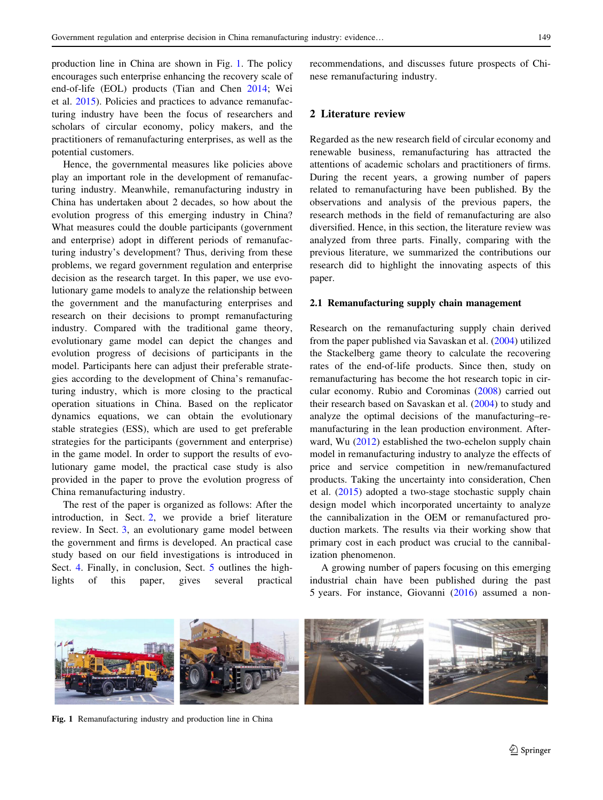production line in China are shown in Fig. 1. The policy encourages such enterprise enhancing the recovery scale of end-of-life (EOL) products (Tian and Chen [2014](#page-11-0); Wei et al. [2015\)](#page-11-0). Policies and practices to advance remanufacturing industry have been the focus of researchers and scholars of circular economy, policy makers, and the practitioners of remanufacturing enterprises, as well as the potential customers.

Hence, the governmental measures like policies above play an important role in the development of remanufacturing industry. Meanwhile, remanufacturing industry in China has undertaken about 2 decades, so how about the evolution progress of this emerging industry in China? What measures could the double participants (government and enterprise) adopt in different periods of remanufacturing industry's development? Thus, deriving from these problems, we regard government regulation and enterprise decision as the research target. In this paper, we use evolutionary game models to analyze the relationship between the government and the manufacturing enterprises and research on their decisions to prompt remanufacturing industry. Compared with the traditional game theory, evolutionary game model can depict the changes and evolution progress of decisions of participants in the model. Participants here can adjust their preferable strategies according to the development of China's remanufacturing industry, which is more closing to the practical operation situations in China. Based on the replicator dynamics equations, we can obtain the evolutionary stable strategies (ESS), which are used to get preferable strategies for the participants (government and enterprise) in the game model. In order to support the results of evolutionary game model, the practical case study is also provided in the paper to prove the evolution progress of China remanufacturing industry.

The rest of the paper is organized as follows: After the introduction, in Sect. 2, we provide a brief literature review. In Sect. [3](#page-3-0), an evolutionary game model between the government and firms is developed. An practical case study based on our field investigations is introduced in Sect. [4.](#page-7-0) Finally, in conclusion, Sect. [5](#page-9-0) outlines the highlights of this paper, gives several practical recommendations, and discusses future prospects of Chinese remanufacturing industry.

# 2 Literature review

Regarded as the new research field of circular economy and renewable business, remanufacturing has attracted the attentions of academic scholars and practitioners of firms. During the recent years, a growing number of papers related to remanufacturing have been published. By the observations and analysis of the previous papers, the research methods in the field of remanufacturing are also diversified. Hence, in this section, the literature review was analyzed from three parts. Finally, comparing with the previous literature, we summarized the contributions our research did to highlight the innovating aspects of this paper.

#### 2.1 Remanufacturing supply chain management

Research on the remanufacturing supply chain derived from the paper published via Savaskan et al. [\(2004](#page-11-0)) utilized the Stackelberg game theory to calculate the recovering rates of the end-of-life products. Since then, study on remanufacturing has become the hot research topic in circular economy. Rubio and Corominas [\(2008](#page-11-0)) carried out their research based on Savaskan et al. ([2004\)](#page-11-0) to study and analyze the optimal decisions of the manufacturing–remanufacturing in the lean production environment. After-ward, Wu [\(2012](#page-11-0)) established the two-echelon supply chain model in remanufacturing industry to analyze the effects of price and service competition in new/remanufactured products. Taking the uncertainty into consideration, Chen et al. [\(2015](#page-10-0)) adopted a two-stage stochastic supply chain design model which incorporated uncertainty to analyze the cannibalization in the OEM or remanufactured production markets. The results via their working show that primary cost in each product was crucial to the cannibalization phenomenon.

A growing number of papers focusing on this emerging industrial chain have been published during the past 5 years. For instance, Giovanni [\(2016](#page-11-0)) assumed a non-



Fig. 1 Remanufacturing industry and production line in China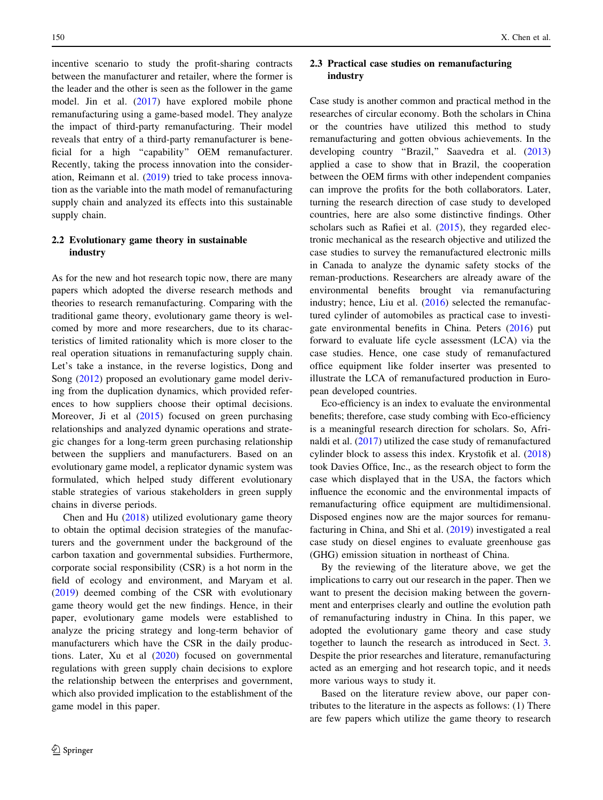incentive scenario to study the profit-sharing contracts between the manufacturer and retailer, where the former is the leader and the other is seen as the follower in the game model. Jin et al. [\(2017](#page-11-0)) have explored mobile phone remanufacturing using a game-based model. They analyze the impact of third-party remanufacturing. Their model reveals that entry of a third-party remanufacturer is beneficial for a high ''capability'' OEM remanufacturer. Recently, taking the process innovation into the consideration, Reimann et al. [\(2019](#page-11-0)) tried to take process innovation as the variable into the math model of remanufacturing supply chain and analyzed its effects into this sustainable supply chain.

# 2.2 Evolutionary game theory in sustainable industry

As for the new and hot research topic now, there are many papers which adopted the diverse research methods and theories to research remanufacturing. Comparing with the traditional game theory, evolutionary game theory is welcomed by more and more researchers, due to its characteristics of limited rationality which is more closer to the real operation situations in remanufacturing supply chain. Let's take a instance, in the reverse logistics, Dong and Song [\(2012](#page-10-0)) proposed an evolutionary game model deriving from the duplication dynamics, which provided references to how suppliers choose their optimal decisions. Moreover, Ji et al [\(2015](#page-11-0)) focused on green purchasing relationships and analyzed dynamic operations and strategic changes for a long-term green purchasing relationship between the suppliers and manufacturers. Based on an evolutionary game model, a replicator dynamic system was formulated, which helped study different evolutionary stable strategies of various stakeholders in green supply chains in diverse periods.

Chen and Hu ([2018\)](#page-10-0) utilized evolutionary game theory to obtain the optimal decision strategies of the manufacturers and the government under the background of the carbon taxation and governmental subsidies. Furthermore, corporate social responsibility (CSR) is a hot norm in the field of ecology and environment, and Maryam et al. [\(2019](#page-11-0)) deemed combing of the CSR with evolutionary game theory would get the new findings. Hence, in their paper, evolutionary game models were established to analyze the pricing strategy and long-term behavior of manufacturers which have the CSR in the daily productions. Later, Xu et al ([2020\)](#page-11-0) focused on governmental regulations with green supply chain decisions to explore the relationship between the enterprises and government, which also provided implication to the establishment of the game model in this paper.

# 2.3 Practical case studies on remanufacturing industry

Case study is another common and practical method in the researches of circular economy. Both the scholars in China or the countries have utilized this method to study remanufacturing and gotten obvious achievements. In the developing country ''Brazil,'' Saavedra et al. ([2013\)](#page-11-0) applied a case to show that in Brazil, the cooperation between the OEM firms with other independent companies can improve the profits for the both collaborators. Later, turning the research direction of case study to developed countries, here are also some distinctive findings. Other scholars such as Rafiei et al. [\(2015\)](#page-11-0), they regarded electronic mechanical as the research objective and utilized the case studies to survey the remanufactured electronic mills in Canada to analyze the dynamic safety stocks of the reman-productions. Researchers are already aware of the environmental benefits brought via remanufacturing industry; hence, Liu et al. ([2016\)](#page-11-0) selected the remanufactured cylinder of automobiles as practical case to investigate environmental benefits in China. Peters [\(2016](#page-11-0)) put forward to evaluate life cycle assessment (LCA) via the case studies. Hence, one case study of remanufactured office equipment like folder inserter was presented to illustrate the LCA of remanufactured production in European developed countries.

Eco-efficiency is an index to evaluate the environmental benefits; therefore, case study combing with Eco-efficiency is a meaningful research direction for scholars. So, Afrinaldi et al. ([2017\)](#page-10-0) utilized the case study of remanufactured cylinder block to assess this index. Krystofik et al. ([2018\)](#page-11-0) took Davies Office, Inc., as the research object to form the case which displayed that in the USA, the factors which influence the economic and the environmental impacts of remanufacturing office equipment are multidimensional. Disposed engines now are the major sources for remanufacturing in China, and Shi et al. [\(2019](#page-11-0)) investigated a real case study on diesel engines to evaluate greenhouse gas (GHG) emission situation in northeast of China.

By the reviewing of the literature above, we get the implications to carry out our research in the paper. Then we want to present the decision making between the government and enterprises clearly and outline the evolution path of remanufacturing industry in China. In this paper, we adopted the evolutionary game theory and case study together to launch the research as introduced in Sect. [3.](#page-3-0) Despite the prior researches and literature, remanufacturing acted as an emerging and hot research topic, and it needs more various ways to study it.

Based on the literature review above, our paper contributes to the literature in the aspects as follows: (1) There are few papers which utilize the game theory to research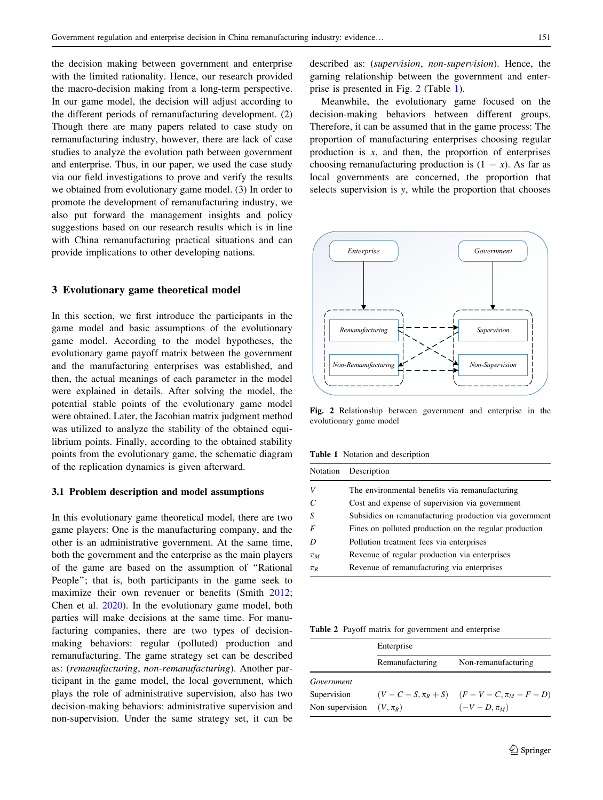<span id="page-3-0"></span>the decision making between government and enterprise with the limited rationality. Hence, our research provided the macro-decision making from a long-term perspective. In our game model, the decision will adjust according to the different periods of remanufacturing development. (2) Though there are many papers related to case study on remanufacturing industry, however, there are lack of case studies to analyze the evolution path between government and enterprise. Thus, in our paper, we used the case study via our field investigations to prove and verify the results we obtained from evolutionary game model. (3) In order to promote the development of remanufacturing industry, we also put forward the management insights and policy suggestions based on our research results which is in line with China remanufacturing practical situations and can provide implications to other developing nations.

# 3 Evolutionary game theoretical model

In this section, we first introduce the participants in the game model and basic assumptions of the evolutionary game model. According to the model hypotheses, the evolutionary game payoff matrix between the government and the manufacturing enterprises was established, and then, the actual meanings of each parameter in the model were explained in details. After solving the model, the potential stable points of the evolutionary game model were obtained. Later, the Jacobian matrix judgment method was utilized to analyze the stability of the obtained equilibrium points. Finally, according to the obtained stability points from the evolutionary game, the schematic diagram of the replication dynamics is given afterward.

### 3.1 Problem description and model assumptions

In this evolutionary game theoretical model, there are two game players: One is the manufacturing company, and the other is an administrative government. At the same time, both the government and the enterprise as the main players of the game are based on the assumption of ''Rational People''; that is, both participants in the game seek to maximize their own revenuer or benefits (Smith [2012](#page-11-0); Chen et al. [2020](#page-10-0)). In the evolutionary game model, both parties will make decisions at the same time. For manufacturing companies, there are two types of decisionmaking behaviors: regular (polluted) production and remanufacturing. The game strategy set can be described as: (remanufacturing, non-remanufacturing). Another participant in the game model, the local government, which plays the role of administrative supervision, also has two decision-making behaviors: administrative supervision and non-supervision. Under the same strategy set, it can be described as: (supervision, non-supervision). Hence, the gaming relationship between the government and enterprise is presented in Fig. 2 (Table 1).

Meanwhile, the evolutionary game focused on the decision-making behaviors between different groups. Therefore, it can be assumed that in the game process: The proportion of manufacturing enterprises choosing regular production is  $x$ , and then, the proportion of enterprises choosing remanufacturing production is  $(1 - x)$ . As far as local governments are concerned, the proportion that selects supervision is  $y$ , while the proportion that chooses



Fig. 2 Relationship between government and enterprise in the evolutionary game model

Table 1 Notation and description

|         | Notation Description                                   |
|---------|--------------------------------------------------------|
| V       | The environmental benefits via remanufacturing         |
| C       | Cost and expense of supervision via government         |
| S       | Subsidies on remanufacturing production via government |
| F       | Fines on polluted production on the regular production |
| D       | Pollution treatment fees via enterprises               |
| $\pi_M$ | Revenue of regular production via enterprises          |
| $\pi_R$ | Revenue of remanufacturing via enterprises             |
|         |                                                        |

Table 2 Payoff matrix for government and enterprise

|                 | Enterprise      |                                                       |  |  |  |  |
|-----------------|-----------------|-------------------------------------------------------|--|--|--|--|
|                 | Remanufacturing | Non-remanufacturing                                   |  |  |  |  |
| Government      |                 |                                                       |  |  |  |  |
| Supervision     |                 | $(V - C - S, \pi_R + S)$ $(F - V - C, \pi_M - F - D)$ |  |  |  |  |
| Non-supervision | $(V,\pi_R)$     | $(-V-D,\pi_M)$                                        |  |  |  |  |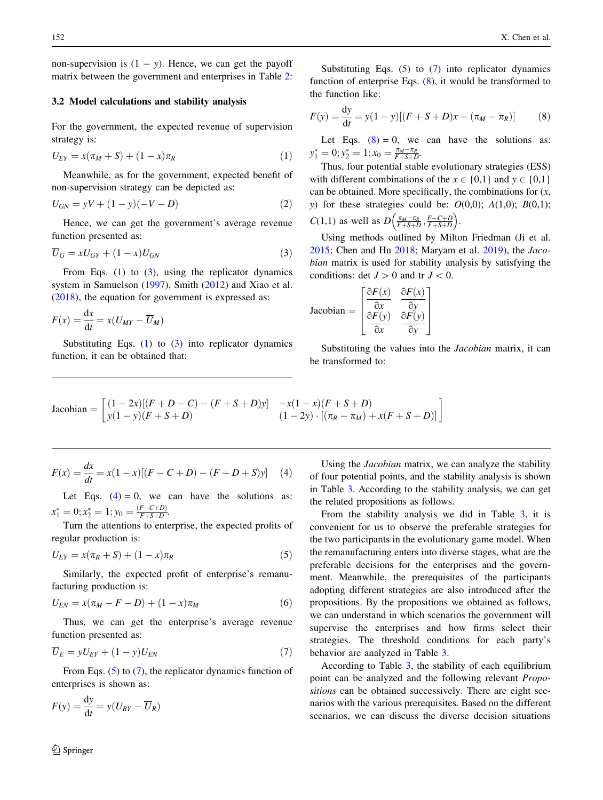non-supervision is  $(1 - y)$ . Hence, we can get the payoff matrix between the government and enterprises in Table [2](#page-3-0):

### 3.2 Model calculations and stability analysis

For the government, the expected revenue of supervision strategy is:

$$
U_{EY} = x(\pi_M + S) + (1 - x)\pi_R \tag{1}
$$

Meanwhile, as for the government, expected benefit of non-supervision strategy can be depicted as:

$$
U_{GN} = yV + (1 - y)(-V - D)
$$
 (2)

Hence, we can get the government's average revenue function presented as:

$$
\overline{U}_G = xU_{GY} + (1 - x)U_{GN}
$$
\n<sup>(3)</sup>

From Eqs.  $(1)$  to  $(3)$ , using the replicator dynamics system in Samuelson [\(1997](#page-11-0)), Smith [\(2012](#page-11-0)) and Xiao et al. [\(2018](#page-11-0)), the equation for government is expressed as:

$$
F(x) = \frac{\mathrm{d}x}{\mathrm{d}t} = x(U_{MY} - \overline{U}_M)
$$

Substituting Eqs.  $(1)$  to  $(3)$  into replicator dynamics function, it can be obtained that:

Substituting Eqs.  $(5)$  to  $(7)$  into replicator dynamics function of enterprise Eqs. (8), it would be transformed to the function like:

$$
F(y) = \frac{dy}{dt} = y(1 - y)[(F + S + D)x - (\pi_M - \pi_R)]
$$
 (8)

Let Eqs.  $(8) = 0$ , we can have the solutions as:  $y_1^* = 0; y_2^* = 1; x_0 = \frac{\pi_M - \pi_R}{F + S + D}.$ 

Thus, four potential stable evolutionary strategies (ESS) with different combinations of the  $x \in \{0,1\}$  and  $y \in \{0,1\}$ can be obtained. More specifically, the combinations for  $(x,$ y) for these strategies could be:  $O(0,0)$ ;  $A(1,0)$ ;  $B(0,1)$ ;  $C(1,1)$  as well as  $D\left(\frac{\pi_M - \pi_R}{F + S + D}, \frac{F - C + D}{F + S + D}\right)$  $\left(\frac{\pi_M-\pi_R}{F+S+D}, \frac{F-C+D}{F+S+D}\right).$ 

Using methods outlined by Milton Friedman (Ji et al. [2015](#page-11-0); Chen and Hu [2018](#page-10-0); Maryam et al. [2019](#page-11-0)), the Jacobian matrix is used for stability analysis by satisfying the conditions: det  $J > 0$  and tr  $J < 0$ .

$$
\text{Jacobian} = \begin{bmatrix} \frac{\partial F(x)}{\partial x} & \frac{\partial F(x)}{\partial y} \\ \frac{\partial F(y)}{\partial x} & \frac{\partial F(y)}{\partial y} \end{bmatrix}
$$

Substituting the values into the *Jacobian* matrix, it can be transformed to:

$$
\text{Jacobian} = \begin{bmatrix} (1-2x)[(F+D-C)-(F+S+D)y] & -x(1-x)(F+S+D) \\ y(1-y)(F+S+D) & (1-2y) \cdot [(n_R - \pi_M) + x(F+S+D)] \end{bmatrix}
$$

$$
F(x) = \frac{dx}{dt} = x(1-x)[(F - C + D) - (F + D + S)y]
$$
 (4)

Let Eqs.  $(4) = 0$ , we can have the solutions as:  $x_1^* = 0; x_2^* = 1; y_0 = \frac{(F - C + D)}{F + S + D}.$ 

Turn the attentions to enterprise, the expected profits of regular production is:

$$
U_{EY} = x(\pi_R + S) + (1 - x)\pi_R
$$
 (5)

Similarly, the expected profit of enterprise's remanufacturing production is:

$$
U_{EN} = x(\pi_M - F - D) + (1 - x)\pi_M \tag{6}
$$

Thus, we can get the enterprise's average revenue function presented as:

$$
\overline{U}_E = yU_{EY} + (1 - y)U_{EN}
$$
\n<sup>(7)</sup>

From Eqs. (5) to (7), the replicator dynamics function of enterprises is shown as:

$$
F(y) = \frac{\mathrm{d}y}{\mathrm{d}t} = y(U_{RY} - \overline{U}_R)
$$

Using the *Jacobian* matrix, we can analyze the stability of four potential points, and the stability analysis is shown in Table [3](#page-5-0). According to the stability analysis, we can get the related propositions as follows.

From the stability analysis we did in Table [3,](#page-5-0) it is convenient for us to observe the preferable strategies for the two participants in the evolutionary game model. When the remanufacturing enters into diverse stages, what are the preferable decisions for the enterprises and the government. Meanwhile, the prerequisites of the participants adopting different strategies are also introduced after the propositions. By the propositions we obtained as follows, we can understand in which scenarios the government will supervise the enterprises and how firms select their strategies. The threshold conditions for each party's behavior are analyzed in Table [3](#page-5-0).

According to Table [3,](#page-5-0) the stability of each equilibrium point can be analyzed and the following relevant Propositions can be obtained successively. There are eight scenarios with the various prerequisites. Based on the different scenarios, we can discuss the diverse decision situations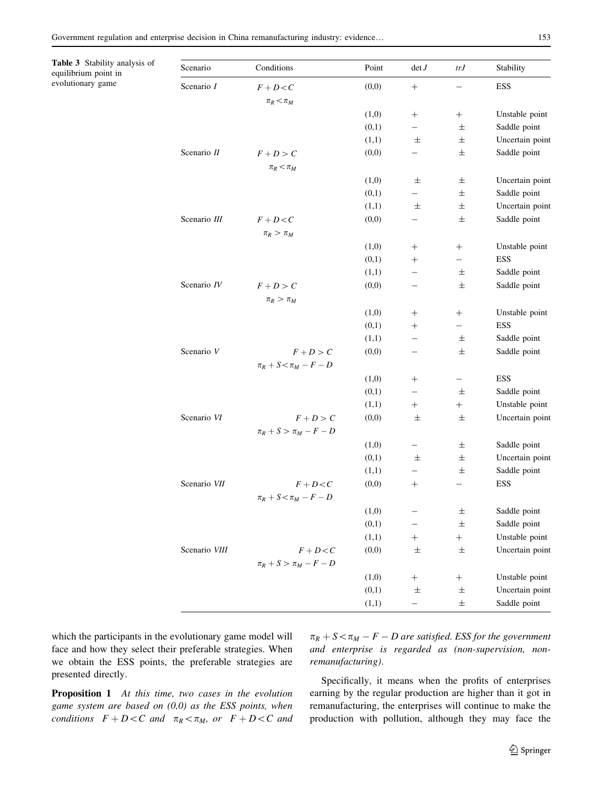<span id="page-5-0"></span>

| Table 3 Stability analysis of<br>equilibrium point in | Scenario      | Conditions                                         | Point | $\det J$                 | trJ                      | Stability       |
|-------------------------------------------------------|---------------|----------------------------------------------------|-------|--------------------------|--------------------------|-----------------|
| evolutionary game                                     | Scenario I    | $F + D < C$                                        | (0,0) | $+$                      | -                        | ESS             |
|                                                       |               | $\pi_R<\pi_M$                                      |       |                          |                          |                 |
|                                                       |               |                                                    | (1,0) | $+$                      |                          | Unstable point  |
|                                                       |               |                                                    | (0,1) | $-$                      | $\pm$                    | Saddle point    |
|                                                       |               |                                                    | (1,1) | 士                        | $\pm$                    | Uncertain point |
|                                                       | Scenario $II$ | $F+D > C$                                          | (0,0) |                          | $\pm$                    | Saddle point    |
|                                                       |               | $\pi_R < \pi_M$                                    |       |                          |                          |                 |
|                                                       |               |                                                    | (1,0) | $\pm$                    | 士                        | Uncertain point |
|                                                       |               |                                                    | (0,1) | $\qquad \qquad -$        | $\pm$                    | Saddle point    |
|                                                       |               |                                                    | (1,1) | $\pm$                    | $\pm$                    | Uncertain point |
|                                                       | Scenario III  | $\boldsymbol{F} + \boldsymbol{D} < \boldsymbol{C}$ | (0,0) |                          | $\pm$                    | Saddle point    |
|                                                       |               | $\pi_R > \pi_M$                                    |       |                          |                          |                 |
|                                                       |               |                                                    | (1,0) | $^{+}$                   | $^{+}$                   | Unstable point  |
|                                                       |               |                                                    | (0,1) | $\boldsymbol{+}$         | $\overline{\phantom{0}}$ | ESS             |
|                                                       |               |                                                    | (1,1) | $\overline{\phantom{0}}$ | $\pm$                    | Saddle point    |
|                                                       | Scenario IV   | $F+D > C$                                          | (0,0) | $\qquad \qquad -$        | $\pm$                    | Saddle point    |
|                                                       |               | $\pi_R > \pi_M$                                    |       |                          |                          |                 |
|                                                       |               |                                                    | (1,0) | $^+$                     | $^{+}$                   | Unstable point  |
|                                                       |               |                                                    | (0,1) | $\boldsymbol{+}$         | $\overline{\phantom{0}}$ | ESS             |
|                                                       |               |                                                    | (1,1) | -                        | $\pm$                    | Saddle point    |
|                                                       | Scenario V    | $F+D > C$                                          | (0,0) | —                        | $\pm$                    | Saddle point    |
|                                                       |               | $\pi_R + S \lt \pi_M - F - D$                      |       |                          |                          |                 |
|                                                       |               |                                                    | (1,0) |                          | -                        | ESS             |
|                                                       |               |                                                    | (0,1) | $\equiv$                 | 士                        | Saddle point    |
|                                                       |               |                                                    | (1,1) |                          |                          | Unstable point  |
|                                                       | Scenario VI   | $F+D > C$                                          | (0,0) | $\pm$                    | $\pm$                    | Uncertain point |
|                                                       |               | $\pi_R + S > \pi_M - F - D$                        |       |                          |                          |                 |
|                                                       |               |                                                    | (1,0) | —                        | $\pm$                    | Saddle point    |
|                                                       |               |                                                    | (0,1) | 士                        | $\pm$                    | Uncertain point |
|                                                       |               |                                                    | (1,1) |                          | $\pm$                    | Saddle point    |
|                                                       | Scenario VII  | $F + D < C$                                        | (0,0) | $\boldsymbol{+}$         | $\overline{\phantom{0}}$ | ESS             |
|                                                       |               | $\pi_R + S \lt \pi_M - F - D$                      |       |                          |                          |                 |
|                                                       |               |                                                    | (1,0) | —                        | $\pm$                    | Saddle point    |
|                                                       |               |                                                    | (0,1) |                          | $\pm$                    | Saddle point    |
|                                                       |               |                                                    | (1,1) | $+$                      | $\boldsymbol{+}$         | Unstable point  |
|                                                       | Scenario VIII | $F + D < C$                                        | (0,0) | $\pm$                    | $\pm$                    | Uncertain point |
|                                                       |               | $\pi_R + S > \pi_M - F - D$                        |       |                          |                          |                 |
|                                                       |               |                                                    | (1,0) | $\boldsymbol{+}$         | $\boldsymbol{+}$         | Unstable point  |
|                                                       |               |                                                    | (0,1) | $\pm$                    | $\pm$                    | Uncertain point |
|                                                       |               |                                                    | (1,1) | $\overline{\phantom{0}}$ | $\pm$                    | Saddle point    |

which the participants in the evolutionary game model will face and how they select their preferable strategies. When we obtain the ESS points, the preferable strategies are presented directly.

Proposition 1 At this time, two cases in the evolution game system are based on  $(0,0)$  as the ESS points, when conditions  $F + D < C$  and  $\pi_R < \pi_M$ , or  $F + D < C$  and  $\pi_R + S \leq \pi_M - F - D$  are satisfied. ESS for the government and enterprise is regarded as (non-supervision, nonremanufacturing).

Specifically, it means when the profits of enterprises earning by the regular production are higher than it got in remanufacturing, the enterprises will continue to make the production with pollution, although they may face the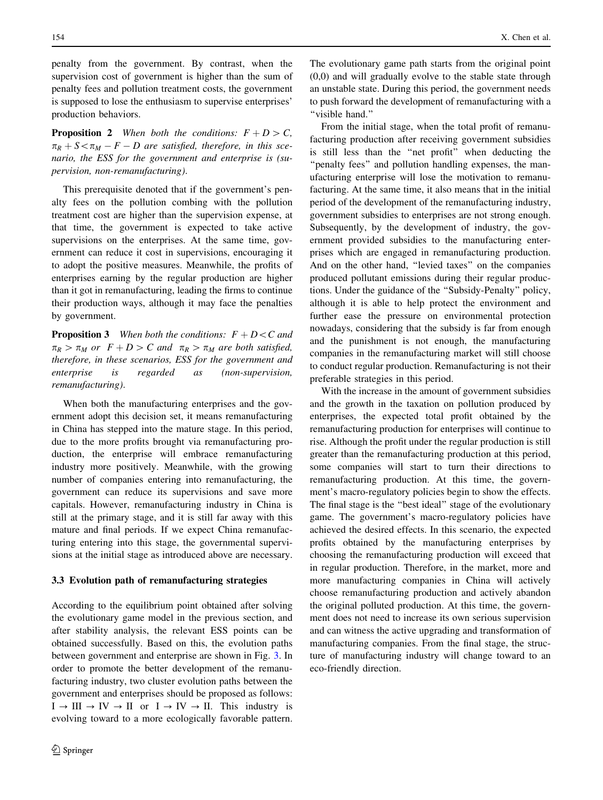penalty from the government. By contrast, when the supervision cost of government is higher than the sum of penalty fees and pollution treatment costs, the government is supposed to lose the enthusiasm to supervise enterprises' production behaviors.

**Proposition 2** When both the conditions:  $F + D > C$ ,  $\pi_R + S \leq \pi_M - F - D$  are satisfied, therefore, in this scenario, the ESS for the government and enterprise is (supervision, non-remanufacturing).

This prerequisite denoted that if the government's penalty fees on the pollution combing with the pollution treatment cost are higher than the supervision expense, at that time, the government is expected to take active supervisions on the enterprises. At the same time, government can reduce it cost in supervisions, encouraging it to adopt the positive measures. Meanwhile, the profits of enterprises earning by the regular production are higher than it got in remanufacturing, leading the firms to continue their production ways, although it may face the penalties by government.

**Proposition 3** When both the conditions:  $F + D < C$  and  $\pi_R > \pi_M$  or  $F + D > C$  and  $\pi_R > \pi_M$  are both satisfied, therefore, in these scenarios, ESS for the government and enterprise is regarded as (non-supervision, remanufacturing).

When both the manufacturing enterprises and the government adopt this decision set, it means remanufacturing in China has stepped into the mature stage. In this period, due to the more profits brought via remanufacturing production, the enterprise will embrace remanufacturing industry more positively. Meanwhile, with the growing number of companies entering into remanufacturing, the government can reduce its supervisions and save more capitals. However, remanufacturing industry in China is still at the primary stage, and it is still far away with this mature and final periods. If we expect China remanufacturing entering into this stage, the governmental supervisions at the initial stage as introduced above are necessary.

#### 3.3 Evolution path of remanufacturing strategies

According to the equilibrium point obtained after solving the evolutionary game model in the previous section, and after stability analysis, the relevant ESS points can be obtained successfully. Based on this, the evolution paths between government and enterprise are shown in Fig. [3.](#page-7-0) In order to promote the better development of the remanufacturing industry, two cluster evolution paths between the government and enterprises should be proposed as follows:  $I \rightarrow III \rightarrow IV \rightarrow II$  or  $I \rightarrow IV \rightarrow II$ . This industry is evolving toward to a more ecologically favorable pattern.

The evolutionary game path starts from the original point (0,0) and will gradually evolve to the stable state through an unstable state. During this period, the government needs to push forward the development of remanufacturing with a ''visible hand.''

From the initial stage, when the total profit of remanufacturing production after receiving government subsidies is still less than the ''net profit'' when deducting the "penalty fees" and pollution handling expenses, the manufacturing enterprise will lose the motivation to remanufacturing. At the same time, it also means that in the initial period of the development of the remanufacturing industry, government subsidies to enterprises are not strong enough. Subsequently, by the development of industry, the government provided subsidies to the manufacturing enterprises which are engaged in remanufacturing production. And on the other hand, ''levied taxes'' on the companies produced pollutant emissions during their regular productions. Under the guidance of the ''Subsidy-Penalty'' policy, although it is able to help protect the environment and further ease the pressure on environmental protection nowadays, considering that the subsidy is far from enough and the punishment is not enough, the manufacturing companies in the remanufacturing market will still choose to conduct regular production. Remanufacturing is not their preferable strategies in this period.

With the increase in the amount of government subsidies and the growth in the taxation on pollution produced by enterprises, the expected total profit obtained by the remanufacturing production for enterprises will continue to rise. Although the profit under the regular production is still greater than the remanufacturing production at this period, some companies will start to turn their directions to remanufacturing production. At this time, the government's macro-regulatory policies begin to show the effects. The final stage is the "best ideal" stage of the evolutionary game. The government's macro-regulatory policies have achieved the desired effects. In this scenario, the expected profits obtained by the manufacturing enterprises by choosing the remanufacturing production will exceed that in regular production. Therefore, in the market, more and more manufacturing companies in China will actively choose remanufacturing production and actively abandon the original polluted production. At this time, the government does not need to increase its own serious supervision and can witness the active upgrading and transformation of manufacturing companies. From the final stage, the structure of manufacturing industry will change toward to an eco-friendly direction.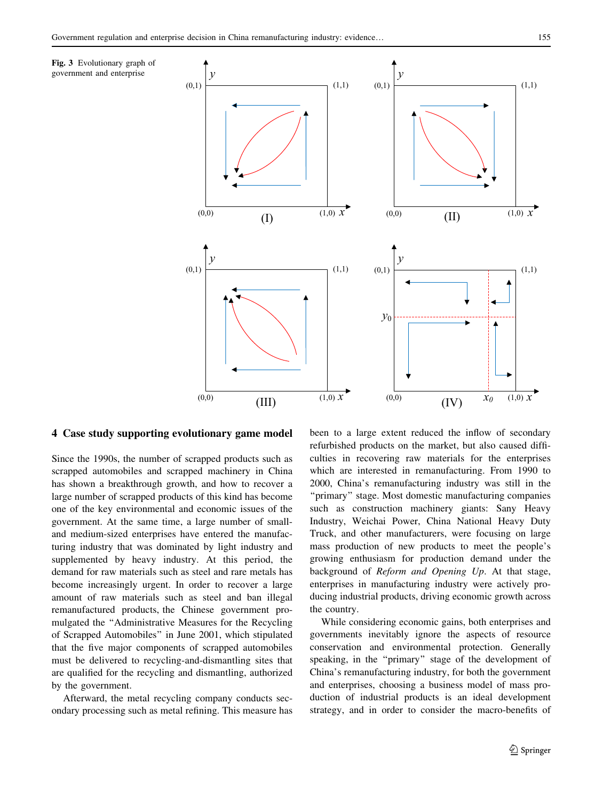<span id="page-7-0"></span>

# 4 Case study supporting evolutionary game model

Since the 1990s, the number of scrapped products such as scrapped automobiles and scrapped machinery in China has shown a breakthrough growth, and how to recover a large number of scrapped products of this kind has become one of the key environmental and economic issues of the government. At the same time, a large number of smalland medium-sized enterprises have entered the manufacturing industry that was dominated by light industry and supplemented by heavy industry. At this period, the demand for raw materials such as steel and rare metals has become increasingly urgent. In order to recover a large amount of raw materials such as steel and ban illegal remanufactured products, the Chinese government promulgated the ''Administrative Measures for the Recycling of Scrapped Automobiles'' in June 2001, which stipulated that the five major components of scrapped automobiles must be delivered to recycling-and-dismantling sites that are qualified for the recycling and dismantling, authorized by the government.

Afterward, the metal recycling company conducts secondary processing such as metal refining. This measure has been to a large extent reduced the inflow of secondary refurbished products on the market, but also caused difficulties in recovering raw materials for the enterprises which are interested in remanufacturing. From 1990 to 2000, China's remanufacturing industry was still in the ''primary'' stage. Most domestic manufacturing companies such as construction machinery giants: Sany Heavy Industry, Weichai Power, China National Heavy Duty Truck, and other manufacturers, were focusing on large mass production of new products to meet the people's growing enthusiasm for production demand under the background of Reform and Opening Up. At that stage, enterprises in manufacturing industry were actively producing industrial products, driving economic growth across the country.

While considering economic gains, both enterprises and governments inevitably ignore the aspects of resource conservation and environmental protection. Generally speaking, in the ''primary'' stage of the development of China's remanufacturing industry, for both the government and enterprises, choosing a business model of mass production of industrial products is an ideal development strategy, and in order to consider the macro-benefits of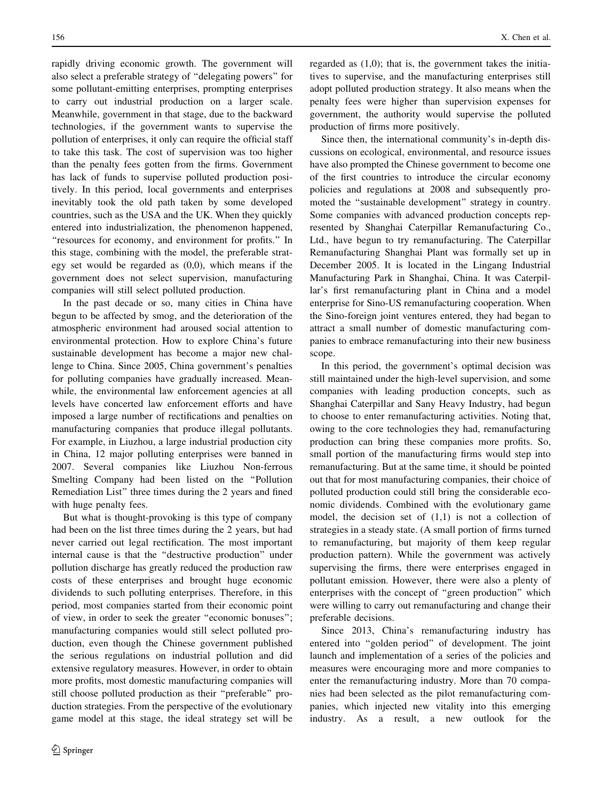rapidly driving economic growth. The government will also select a preferable strategy of ''delegating powers'' for some pollutant-emitting enterprises, prompting enterprises to carry out industrial production on a larger scale. Meanwhile, government in that stage, due to the backward technologies, if the government wants to supervise the pollution of enterprises, it only can require the official staff to take this task. The cost of supervision was too higher than the penalty fees gotten from the firms. Government has lack of funds to supervise polluted production positively. In this period, local governments and enterprises inevitably took the old path taken by some developed countries, such as the USA and the UK. When they quickly entered into industrialization, the phenomenon happened, ''resources for economy, and environment for profits.'' In this stage, combining with the model, the preferable strategy set would be regarded as (0,0), which means if the government does not select supervision, manufacturing companies will still select polluted production.

In the past decade or so, many cities in China have begun to be affected by smog, and the deterioration of the atmospheric environment had aroused social attention to environmental protection. How to explore China's future sustainable development has become a major new challenge to China. Since 2005, China government's penalties for polluting companies have gradually increased. Meanwhile, the environmental law enforcement agencies at all levels have concerted law enforcement efforts and have imposed a large number of rectifications and penalties on manufacturing companies that produce illegal pollutants. For example, in Liuzhou, a large industrial production city in China, 12 major polluting enterprises were banned in 2007. Several companies like Liuzhou Non-ferrous Smelting Company had been listed on the ''Pollution Remediation List'' three times during the 2 years and fined with huge penalty fees.

But what is thought-provoking is this type of company had been on the list three times during the 2 years, but had never carried out legal rectification. The most important internal cause is that the ''destructive production'' under pollution discharge has greatly reduced the production raw costs of these enterprises and brought huge economic dividends to such polluting enterprises. Therefore, in this period, most companies started from their economic point of view, in order to seek the greater ''economic bonuses''; manufacturing companies would still select polluted production, even though the Chinese government published the serious regulations on industrial pollution and did extensive regulatory measures. However, in order to obtain more profits, most domestic manufacturing companies will still choose polluted production as their ''preferable'' production strategies. From the perspective of the evolutionary game model at this stage, the ideal strategy set will be regarded as (1,0); that is, the government takes the initiatives to supervise, and the manufacturing enterprises still adopt polluted production strategy. It also means when the penalty fees were higher than supervision expenses for government, the authority would supervise the polluted production of firms more positively.

Since then, the international community's in-depth discussions on ecological, environmental, and resource issues have also prompted the Chinese government to become one of the first countries to introduce the circular economy policies and regulations at 2008 and subsequently promoted the ''sustainable development'' strategy in country. Some companies with advanced production concepts represented by Shanghai Caterpillar Remanufacturing Co., Ltd., have begun to try remanufacturing. The Caterpillar Remanufacturing Shanghai Plant was formally set up in December 2005. It is located in the Lingang Industrial Manufacturing Park in Shanghai, China. It was Caterpillar's first remanufacturing plant in China and a model enterprise for Sino-US remanufacturing cooperation. When the Sino-foreign joint ventures entered, they had began to attract a small number of domestic manufacturing companies to embrace remanufacturing into their new business scope.

In this period, the government's optimal decision was still maintained under the high-level supervision, and some companies with leading production concepts, such as Shanghai Caterpillar and Sany Heavy Industry, had begun to choose to enter remanufacturing activities. Noting that, owing to the core technologies they had, remanufacturing production can bring these companies more profits. So, small portion of the manufacturing firms would step into remanufacturing. But at the same time, it should be pointed out that for most manufacturing companies, their choice of polluted production could still bring the considerable economic dividends. Combined with the evolutionary game model, the decision set of  $(1,1)$  is not a collection of strategies in a steady state. (A small portion of firms turned to remanufacturing, but majority of them keep regular production pattern). While the government was actively supervising the firms, there were enterprises engaged in pollutant emission. However, there were also a plenty of enterprises with the concept of ''green production'' which were willing to carry out remanufacturing and change their preferable decisions.

Since 2013, China's remanufacturing industry has entered into ''golden period'' of development. The joint launch and implementation of a series of the policies and measures were encouraging more and more companies to enter the remanufacturing industry. More than 70 companies had been selected as the pilot remanufacturing companies, which injected new vitality into this emerging industry. As a result, a new outlook for the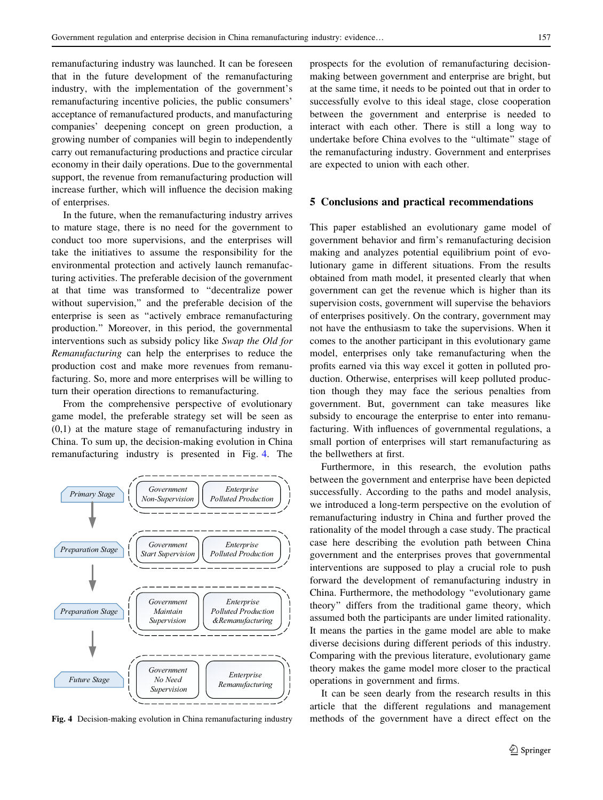<span id="page-9-0"></span>remanufacturing industry was launched. It can be foreseen that in the future development of the remanufacturing industry, with the implementation of the government's remanufacturing incentive policies, the public consumers' acceptance of remanufactured products, and manufacturing companies' deepening concept on green production, a growing number of companies will begin to independently carry out remanufacturing productions and practice circular economy in their daily operations. Due to the governmental support, the revenue from remanufacturing production will increase further, which will influence the decision making of enterprises.

In the future, when the remanufacturing industry arrives to mature stage, there is no need for the government to conduct too more supervisions, and the enterprises will take the initiatives to assume the responsibility for the environmental protection and actively launch remanufacturing activities. The preferable decision of the government at that time was transformed to ''decentralize power without supervision,'' and the preferable decision of the enterprise is seen as ''actively embrace remanufacturing production.'' Moreover, in this period, the governmental interventions such as subsidy policy like Swap the Old for Remanufacturing can help the enterprises to reduce the production cost and make more revenues from remanufacturing. So, more and more enterprises will be willing to turn their operation directions to remanufacturing.

From the comprehensive perspective of evolutionary game model, the preferable strategy set will be seen as (0,1) at the mature stage of remanufacturing industry in China. To sum up, the decision-making evolution in China remanufacturing industry is presented in Fig. 4. The



Fig. 4 Decision-making evolution in China remanufacturing industry

prospects for the evolution of remanufacturing decisionmaking between government and enterprise are bright, but at the same time, it needs to be pointed out that in order to successfully evolve to this ideal stage, close cooperation between the government and enterprise is needed to interact with each other. There is still a long way to undertake before China evolves to the ''ultimate'' stage of the remanufacturing industry. Government and enterprises are expected to union with each other.

# 5 Conclusions and practical recommendations

This paper established an evolutionary game model of government behavior and firm's remanufacturing decision making and analyzes potential equilibrium point of evolutionary game in different situations. From the results obtained from math model, it presented clearly that when government can get the revenue which is higher than its supervision costs, government will supervise the behaviors of enterprises positively. On the contrary, government may not have the enthusiasm to take the supervisions. When it comes to the another participant in this evolutionary game model, enterprises only take remanufacturing when the profits earned via this way excel it gotten in polluted production. Otherwise, enterprises will keep polluted production though they may face the serious penalties from government. But, government can take measures like subsidy to encourage the enterprise to enter into remanufacturing. With influences of governmental regulations, a small portion of enterprises will start remanufacturing as the bellwethers at first.

Furthermore, in this research, the evolution paths between the government and enterprise have been depicted successfully. According to the paths and model analysis, we introduced a long-term perspective on the evolution of remanufacturing industry in China and further proved the rationality of the model through a case study. The practical case here describing the evolution path between China government and the enterprises proves that governmental interventions are supposed to play a crucial role to push forward the development of remanufacturing industry in China. Furthermore, the methodology ''evolutionary game theory'' differs from the traditional game theory, which assumed both the participants are under limited rationality. It means the parties in the game model are able to make diverse decisions during different periods of this industry. Comparing with the previous literature, evolutionary game theory makes the game model more closer to the practical operations in government and firms.

It can be seen dearly from the research results in this article that the different regulations and management methods of the government have a direct effect on the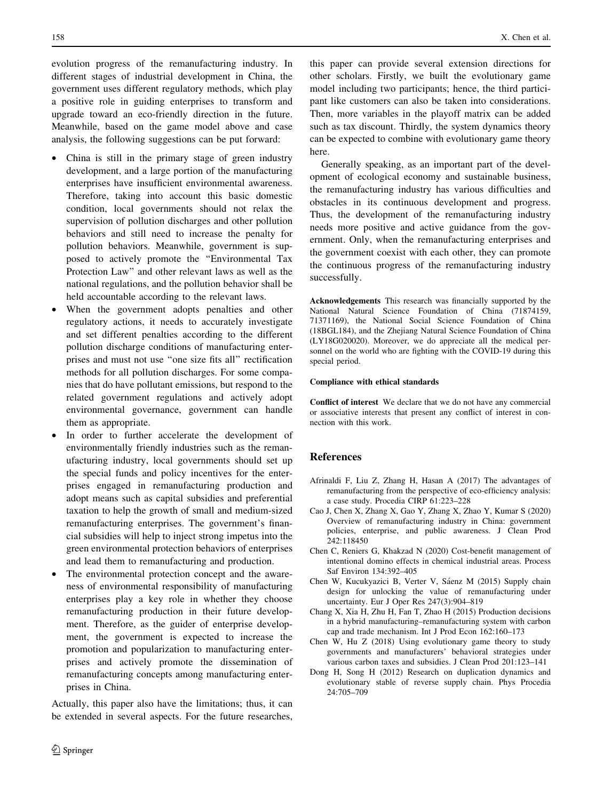<span id="page-10-0"></span>evolution progress of the remanufacturing industry. In different stages of industrial development in China, the government uses different regulatory methods, which play a positive role in guiding enterprises to transform and upgrade toward an eco-friendly direction in the future. Meanwhile, based on the game model above and case analysis, the following suggestions can be put forward:

- China is still in the primary stage of green industry development, and a large portion of the manufacturing enterprises have insufficient environmental awareness. Therefore, taking into account this basic domestic condition, local governments should not relax the supervision of pollution discharges and other pollution behaviors and still need to increase the penalty for pollution behaviors. Meanwhile, government is supposed to actively promote the ''Environmental Tax Protection Law'' and other relevant laws as well as the national regulations, and the pollution behavior shall be held accountable according to the relevant laws.
- When the government adopts penalties and other regulatory actions, it needs to accurately investigate and set different penalties according to the different pollution discharge conditions of manufacturing enterprises and must not use ''one size fits all'' rectification methods for all pollution discharges. For some companies that do have pollutant emissions, but respond to the related government regulations and actively adopt environmental governance, government can handle them as appropriate.
- In order to further accelerate the development of environmentally friendly industries such as the remanufacturing industry, local governments should set up the special funds and policy incentives for the enterprises engaged in remanufacturing production and adopt means such as capital subsidies and preferential taxation to help the growth of small and medium-sized remanufacturing enterprises. The government's financial subsidies will help to inject strong impetus into the green environmental protection behaviors of enterprises and lead them to remanufacturing and production.
- The environmental protection concept and the awareness of environmental responsibility of manufacturing enterprises play a key role in whether they choose remanufacturing production in their future development. Therefore, as the guider of enterprise development, the government is expected to increase the promotion and popularization to manufacturing enterprises and actively promote the dissemination of remanufacturing concepts among manufacturing enterprises in China.

Actually, this paper also have the limitations; thus, it can be extended in several aspects. For the future researches,

this paper can provide several extension directions for other scholars. Firstly, we built the evolutionary game model including two participants; hence, the third participant like customers can also be taken into considerations. Then, more variables in the playoff matrix can be added such as tax discount. Thirdly, the system dynamics theory can be expected to combine with evolutionary game theory here.

Generally speaking, as an important part of the development of ecological economy and sustainable business, the remanufacturing industry has various difficulties and obstacles in its continuous development and progress. Thus, the development of the remanufacturing industry needs more positive and active guidance from the government. Only, when the remanufacturing enterprises and the government coexist with each other, they can promote the continuous progress of the remanufacturing industry successfully.

Acknowledgements This research was financially supported by the National Natural Science Foundation of China (71874159, 71371169), the National Social Science Foundation of China (18BGL184), and the Zhejiang Natural Science Foundation of China (LY18G020020). Moreover, we do appreciate all the medical personnel on the world who are fighting with the COVID-19 during this special period.

#### Compliance with ethical standards

Conflict of interest We declare that we do not have any commercial or associative interests that present any conflict of interest in connection with this work.

# References

- Afrinaldi F, Liu Z, Zhang H, Hasan A (2017) The advantages of remanufacturing from the perspective of eco-efficiency analysis: a case study. Procedia CIRP 61:223–228
- Cao J, Chen X, Zhang X, Gao Y, Zhang X, Zhao Y, Kumar S (2020) Overview of remanufacturing industry in China: government policies, enterprise, and public awareness. J Clean Prod 242:118450
- Chen C, Reniers G, Khakzad N (2020) Cost-benefit management of intentional domino effects in chemical industrial areas. Process Saf Environ 134:392–405
- Chen W, Kucukyazici B, Verter V, Sáenz M (2015) Supply chain design for unlocking the value of remanufacturing under uncertainty. Eur J Oper Res 247(3):904–819
- Chang X, Xia H, Zhu H, Fan T, Zhao H (2015) Production decisions in a hybrid manufacturing–remanufacturing system with carbon cap and trade mechanism. Int J Prod Econ 162:160–173
- Chen W, Hu Z (2018) Using evolutionary game theory to study governments and manufacturers' behavioral strategies under various carbon taxes and subsidies. J Clean Prod 201:123–141
- Dong H, Song H (2012) Research on duplication dynamics and evolutionary stable of reverse supply chain. Phys Procedia 24:705–709